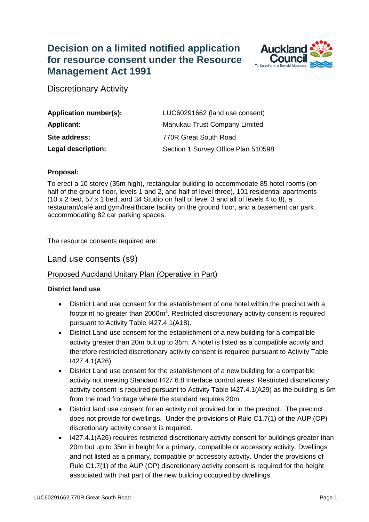# **Decision on a limited notified application for resource consent under the Resource Management Act 1991**



Discretionary Activity

| Application number(s): | LUC60291662 (land use consent)      |
|------------------------|-------------------------------------|
| <b>Applicant:</b>      | Manukau Trust Company Limited       |
| Site address:          | 770R Great South Road               |
| Legal description:     | Section 1 Survey Office Plan 510598 |

#### **Proposal:**

To erect a 10 storey (35m high), rectangular building to accommodate 85 hotel rooms (on half of the ground floor, levels 1 and 2, and half of level three), 101 residential apartments (10 x 2 bed, 57 x 1 bed, and 34 Studio on half of level 3 and all of levels 4 to 8), a restaurant/café and gym/healthcare facility on the ground floor, and a basement car park accommodating 82 car parking spaces.

The resource consents required are:

Land use consents (s9)

## Proposed Auckland Unitary Plan (Operative in Part)

#### **District land use**

- District Land use consent for the establishment of one hotel within the precinct with a footprint no greater than  $2000m^2$ . Restricted discretionary activity consent is required pursuant to Activity Table I427.4.1(A18).
- District Land use consent for the establishment of a new building for a compatible activity greater than 20m but up to 35m. A hotel is listed as a compatible activity and therefore restricted discretionary activity consent is required pursuant to Activity Table I427.4.1(A26).
- District Land use consent for the establishment of a new building for a compatible activity not meeting Standard I427.6.8 Interface control areas. Restricted discretionary activity consent is required pursuant to Activity Table I427.4.1(A29) as the building is 6m from the road frontage where the standard requires 20m.
- District land use consent for an activity not provided for in the precinct. The precinct does not provide for dwellings. Under the provisions of Rule C1.7(1) of the AUP (OP) discretionary activity consent is required.
- I427.4.1(A26) requires restricted discretionary activity consent for buildings greater than 20m but up to 35m in height for a primary, compatible or accessory activity. Dwellings and not listed as a primary, compatible or accessory activity. Under the provisions of Rule C1.7(1) of the AUP (OP) discretionary activity consent is required for the height associated with that part of the new building occupied by dwellings.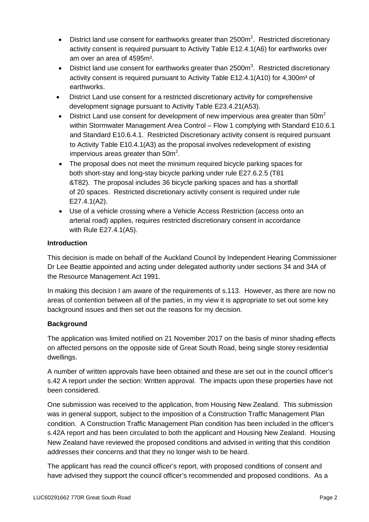- District land use consent for earthworks greater than  $2500m^2$ . Restricted discretionary activity consent is required pursuant to Activity Table E12.4.1(A6) for earthworks over am over an area of 4595m².
- District land use consent for earthworks greater than 2500 $m<sup>3</sup>$ . Restricted discretionary activity consent is required pursuant to Activity Table E12.4.1(A10) for 4,300m<sup>3</sup> of earthworks.
- District Land use consent for a restricted discretionary activity for comprehensive development signage pursuant to Activity Table E23.4.21(A53).
- District Land use consent for development of new impervious area greater than  $50m^2$ within Stormwater Management Area Control – Flow 1 complying with Standard E10.6.1 and Standard E10.6.4.1. Restricted Discretionary activity consent is required pursuant to Activity Table E10.4.1(A3) as the proposal involves redevelopment of existing impervious areas greater than  $50m^2$ .
- The proposal does not meet the minimum required bicycle parking spaces for both short-stay and long-stay bicycle parking under rule E27.6.2.5 (T81 &T82). The proposal includes 36 bicycle parking spaces and has a shortfall of 20 spaces. Restricted discretionary activity consent is required under rule E27.4.1(A2).
- Use of a vehicle crossing where a Vehicle Access Restriction (access onto an arterial road) applies, requires restricted discretionary consent in accordance with Rule E27.4.1(A5).

## **Introduction**

This decision is made on behalf of the Auckland Council by Independent Hearing Commissioner Dr Lee Beattie appointed and acting under delegated authority under sections 34 and 34A of the Resource Management Act 1991.

In making this decision I am aware of the requirements of s.113. However, as there are now no areas of contention between all of the parties, in my view it is appropriate to set out some key background issues and then set out the reasons for my decision.

## **Background**

The application was limited notified on 21 November 2017 on the basis of minor shading effects on affected persons on the opposite side of Great South Road, being single storey residential dwellings.

A number of written approvals have been obtained and these are set out in the council officer's s.42 A report under the section: Written approval. The impacts upon these properties have not been considered.

One submission was received to the application, from Housing New Zealand. This submission was in general support, subject to the imposition of a Construction Traffic Management Plan condition. A Construction Traffic Management Plan condition has been included in the officer's s.42A report and has been circulated to both the applicant and Housing New Zealand. Housing New Zealand have reviewed the proposed conditions and advised in writing that this condition addresses their concerns and that they no longer wish to be heard.

The applicant has read the council officer's report, with proposed conditions of consent and have advised they support the council officer's recommended and proposed conditions. As a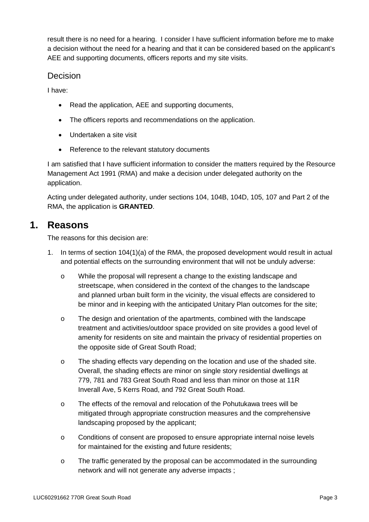result there is no need for a hearing. I consider I have sufficient information before me to make a decision without the need for a hearing and that it can be considered based on the applicant's AEE and supporting documents, officers reports and my site visits.

## Decision

I have:

- Read the application, AEE and supporting documents,
- The officers reports and recommendations on the application.
- Undertaken a site visit
- Reference to the relevant statutory documents

I am satisfied that I have sufficient information to consider the matters required by the Resource Management Act 1991 (RMA) and make a decision under delegated authority on the application.

Acting under delegated authority, under sections 104, 104B, 104D, 105, 107 and Part 2 of the RMA, the application is **GRANTED**.

# **1. Reasons**

The reasons for this decision are:

- 1. In terms of section 104(1)(a) of the RMA, the proposed development would result in actual and potential effects on the surrounding environment that will not be unduly adverse:
	- o While the proposal will represent a change to the existing landscape and streetscape, when considered in the context of the changes to the landscape and planned urban built form in the vicinity, the visual effects are considered to be minor and in keeping with the anticipated Unitary Plan outcomes for the site;
	- o The design and orientation of the apartments, combined with the landscape treatment and activities/outdoor space provided on site provides a good level of amenity for residents on site and maintain the privacy of residential properties on the opposite side of Great South Road;
	- o The shading effects vary depending on the location and use of the shaded site. Overall, the shading effects are minor on single story residential dwellings at 779, 781 and 783 Great South Road and less than minor on those at 11R Inverall Ave, 5 Kerrs Road, and 792 Great South Road.
	- o The effects of the removal and relocation of the Pohutukawa trees will be mitigated through appropriate construction measures and the comprehensive landscaping proposed by the applicant;
	- o Conditions of consent are proposed to ensure appropriate internal noise levels for maintained for the existing and future residents;
	- o The traffic generated by the proposal can be accommodated in the surrounding network and will not generate any adverse impacts ;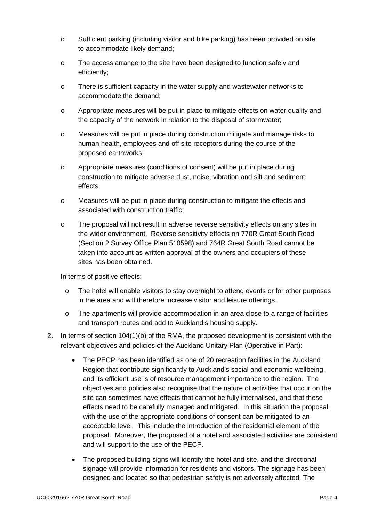- o Sufficient parking (including visitor and bike parking) has been provided on site to accommodate likely demand;
- o The access arrange to the site have been designed to function safely and efficiently;
- o There is sufficient capacity in the water supply and wastewater networks to accommodate the demand;
- o Appropriate measures will be put in place to mitigate effects on water quality and the capacity of the network in relation to the disposal of stormwater;
- o Measures will be put in place during construction mitigate and manage risks to human health, employees and off site receptors during the course of the proposed earthworks;
- o Appropriate measures (conditions of consent) will be put in place during construction to mitigate adverse dust, noise, vibration and silt and sediment effects.
- o Measures will be put in place during construction to mitigate the effects and associated with construction traffic;
- o The proposal will not result in adverse reverse sensitivity effects on any sites in the wider environment. Reverse sensitivity effects on 770R Great South Road (Section 2 Survey Office Plan 510598) and 764R Great South Road cannot be taken into account as written approval of the owners and occupiers of these sites has been obtained.

In terms of positive effects:

- o The hotel will enable visitors to stay overnight to attend events or for other purposes in the area and will therefore increase visitor and leisure offerings.
- $\circ$  The apartments will provide accommodation in an area close to a range of facilities and transport routes and add to Auckland's housing supply.
- 2. In terms of section 104(1)(b) of the RMA, the proposed development is consistent with the relevant objectives and policies of the Auckland Unitary Plan (Operative in Part):
	- The PECP has been identified as one of 20 recreation facilities in the Auckland Region that contribute significantly to Auckland's social and economic wellbeing, and its efficient use is of resource management importance to the region. The objectives and policies also recognise that the nature of activities that occur on the site can sometimes have effects that cannot be fully internalised, and that these effects need to be carefully managed and mitigated. In this situation the proposal, with the use of the appropriate conditions of consent can be mitigated to an acceptable level. This include the introduction of the residential element of the proposal. Moreover, the proposed of a hotel and associated activities are consistent and will support to the use of the PECP.
	- The proposed building signs will identify the hotel and site, and the directional signage will provide information for residents and visitors. The signage has been designed and located so that pedestrian safety is not adversely affected. The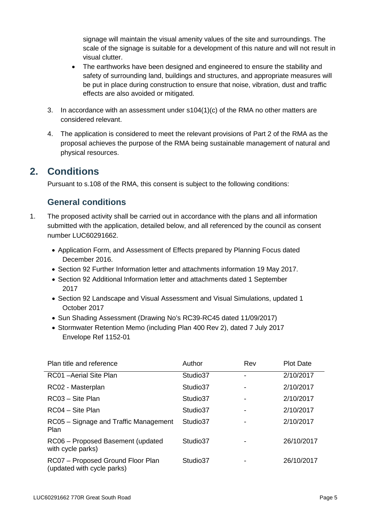signage will maintain the visual amenity values of the site and surroundings. The scale of the signage is suitable for a development of this nature and will not result in visual clutter.

- The earthworks have been designed and engineered to ensure the stability and safety of surrounding land, buildings and structures, and appropriate measures will be put in place during construction to ensure that noise, vibration, dust and traffic effects are also avoided or mitigated.
- 3. In accordance with an assessment under s104(1)(c) of the RMA no other matters are considered relevant.
- 4. The application is considered to meet the relevant provisions of Part 2 of the RMA as the proposal achieves the purpose of the RMA being sustainable management of natural and physical resources.

# **2. Conditions**

Pursuant to s.108 of the RMA, this consent is subject to the following conditions:

# **General conditions**

- 1. The proposed activity shall be carried out in accordance with the plans and all information submitted with the application, detailed below, and all referenced by the council as consent number LUC60291662.
	- Application Form, and Assessment of Effects prepared by Planning Focus dated December 2016.
	- Section 92 Further Information letter and attachments information 19 May 2017.
	- Section 92 Additional Information letter and attachments dated 1 September 2017
	- Section 92 Landscape and Visual Assessment and Visual Simulations, updated 1 October 2017
	- Sun Shading Assessment (Drawing No's RC39-RC45 dated 11/09/2017)
	- Stormwater Retention Memo (including Plan 400 Rev 2), dated 7 July 2017 Envelope Ref 1152-01

| Plan title and reference                                        | Author   | Rev | <b>Plot Date</b> |
|-----------------------------------------------------------------|----------|-----|------------------|
| RC01 - Aerial Site Plan                                         | Studio37 |     | 2/10/2017        |
| RC02 - Masterplan                                               | Studio37 |     | 2/10/2017        |
| RC03 - Site Plan                                                | Studio37 |     | 2/10/2017        |
| RC04 - Site Plan                                                | Studio37 |     | 2/10/2017        |
| RC05 – Signage and Traffic Management<br>Plan                   | Studio37 |     | 2/10/2017        |
| RC06 - Proposed Basement (updated<br>with cycle parks)          | Studio37 |     | 26/10/2017       |
| RC07 - Proposed Ground Floor Plan<br>(updated with cycle parks) | Studio37 |     | 26/10/2017       |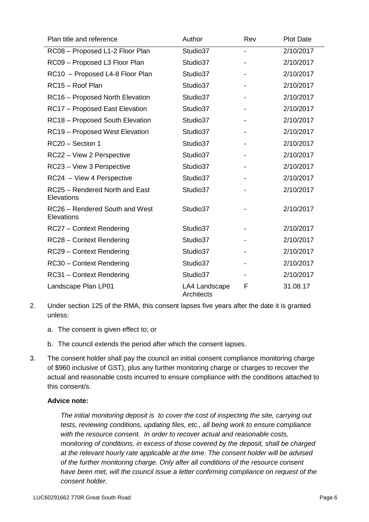| Plan title and reference                     | Author                      | Rev | <b>Plot Date</b> |
|----------------------------------------------|-----------------------------|-----|------------------|
| RC08 - Proposed L1-2 Floor Plan              | Studio37                    |     | 2/10/2017        |
| RC09 - Proposed L3 Floor Plan                | Studio37                    |     | 2/10/2017        |
| RC10 - Proposed L4-8 Floor Plan              | Studio37                    |     | 2/10/2017        |
| RC15 - Roof Plan                             | Studio37                    |     | 2/10/2017        |
| RC16 - Proposed North Elevation              | Studio37                    |     | 2/10/2017        |
| RC17 - Proposed East Elevation               | Studio37                    |     | 2/10/2017        |
| RC18 - Proposed South Elevation              | Studio37                    |     | 2/10/2017        |
| RC19 - Proposed West Elevation               | Studio37                    |     | 2/10/2017        |
| RC20 - Section 1                             | Studio37                    |     | 2/10/2017        |
| RC22 - View 2 Perspective                    | Studio37                    |     | 2/10/2017        |
| RC23 - View 3 Perspective                    | Studio37                    |     | 2/10/2017        |
| RC24 - View 4 Perspective                    | Studio37                    |     | 2/10/2017        |
| RC25 - Rendered North and East<br>Elevations | Studio37                    |     | 2/10/2017        |
| RC26 - Rendered South and West<br>Elevations | Studio37                    |     | 2/10/2017        |
| RC27 - Context Rendering                     | Studio37                    |     | 2/10/2017        |
| RC28 - Context Rendering                     | Studio37                    |     | 2/10/2017        |
| RC29 - Context Rendering                     | Studio37                    |     | 2/10/2017        |
| RC30 - Context Rendering                     | Studio37                    |     | 2/10/2017        |
| RC31 - Context Rendering                     | Studio37                    |     | 2/10/2017        |
| Landscape Plan LP01                          | LA4 Landscape<br>Architects | F   | 31.08.17         |

- 2. Under section 125 of the RMA, this consent lapses five years after the date it is granted unless:
	- a. The consent is given effect to; or
	- b. The council extends the period after which the consent lapses.
- 3. The consent holder shall pay the council an initial consent compliance monitoring charge of \$960 inclusive of GST), plus any further monitoring charge or charges to recover the actual and reasonable costs incurred to ensure compliance with the conditions attached to this consent/s.

#### **Advice note:**

*The initial monitoring deposit is to cover the cost of inspecting the site, carrying out tests, reviewing conditions, updating files, etc., all being work to ensure compliance with the resource consent. In order to recover actual and reasonable costs, monitoring of conditions, in excess of those covered by the deposit, shall be charged at the relevant hourly rate applicable at the time. The consent holder will be advised of the further monitoring charge. Only after all conditions of the resource consent have been met, will the council issue a letter confirming compliance on request of the consent holder.*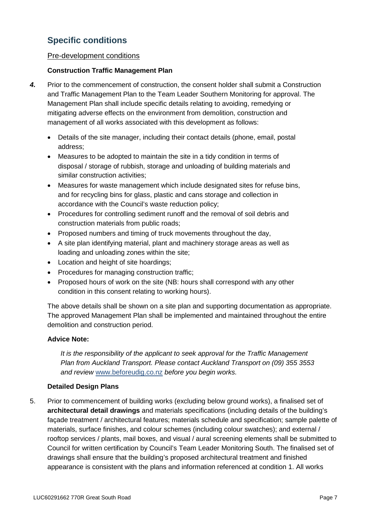# **Specific conditions**

## Pre-development conditions

## **Construction Traffic Management Plan**

- *4.* Prior to the commencement of construction, the consent holder shall submit a Construction and Traffic Management Plan to the Team Leader Southern Monitoring for approval. The Management Plan shall include specific details relating to avoiding, remedying or mitigating adverse effects on the environment from demolition, construction and management of all works associated with this development as follows:
	- Details of the site manager, including their contact details (phone, email, postal address;
	- Measures to be adopted to maintain the site in a tidy condition in terms of disposal / storage of rubbish, storage and unloading of building materials and similar construction activities;
	- Measures for waste management which include designated sites for refuse bins, and for recycling bins for glass, plastic and cans storage and collection in accordance with the Council's waste reduction policy;
	- Procedures for controlling sediment runoff and the removal of soil debris and construction materials from public roads;
	- Proposed numbers and timing of truck movements throughout the day,
	- A site plan identifying material, plant and machinery storage areas as well as loading and unloading zones within the site;
	- Location and height of site hoardings;
	- Procedures for managing construction traffic;
	- Proposed hours of work on the site (NB: hours shall correspond with any other condition in this consent relating to working hours).

The above details shall be shown on a site plan and supporting documentation as appropriate. The approved Management Plan shall be implemented and maintained throughout the entire demolition and construction period.

## **Advice Note:**

*It is the responsibility of the applicant to seek approval for the Traffic Management Plan from Auckland Transport. Please contact Auckland Transport on (09) 355 3553 and review* [www.beforeudig.co.nz](http://www.beforeudig.co.nz/) *before you begin works.*

## **Detailed Design Plans**

5. Prior to commencement of building works (excluding below ground works), a finalised set of **architectural detail drawings** and materials specifications (including details of the building's façade treatment / architectural features; materials schedule and specification; sample palette of materials, surface finishes, and colour schemes (including colour swatches); and external / rooftop services / plants, mail boxes, and visual / aural screening elements shall be submitted to Council for written certification by Council's Team Leader Monitoring South. The finalised set of drawings shall ensure that the building's proposed architectural treatment and finished appearance is consistent with the plans and information referenced at condition 1. All works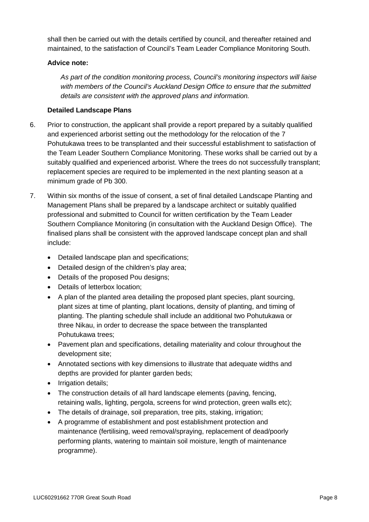shall then be carried out with the details certified by council, and thereafter retained and maintained, to the satisfaction of Council's Team Leader Compliance Monitoring South.

## **Advice note:**

*As part of the condition monitoring process, Council's monitoring inspectors will liaise with members of the Council's Auckland Design Office to ensure that the submitted details are consistent with the approved plans and information.* 

### **Detailed Landscape Plans**

- 6. Prior to construction, the applicant shall provide a report prepared by a suitably qualified and experienced arborist setting out the methodology for the relocation of the 7 Pohutukawa trees to be transplanted and their successful establishment to satisfaction of the Team Leader Southern Compliance Monitoring. These works shall be carried out by a suitably qualified and experienced arborist. Where the trees do not successfully transplant; replacement species are required to be implemented in the next planting season at a minimum grade of Pb 300.
- 7. Within six months of the issue of consent, a set of final detailed Landscape Planting and Management Plans shall be prepared by a landscape architect or suitably qualified professional and submitted to Council for written certification by the Team Leader Southern Compliance Monitoring (in consultation with the Auckland Design Office). The finalised plans shall be consistent with the approved landscape concept plan and shall include:
	- Detailed landscape plan and specifications;
	- Detailed design of the children's play area;
	- Details of the proposed Pou designs;
	- Details of letterbox location;
	- A plan of the planted area detailing the proposed plant species, plant sourcing, plant sizes at time of planting, plant locations, density of planting, and timing of planting. The planting schedule shall include an additional two Pohutukawa or three Nikau, in order to decrease the space between the transplanted Pohutukawa trees;
	- Pavement plan and specifications, detailing materiality and colour throughout the development site;
	- Annotated sections with key dimensions to illustrate that adequate widths and depths are provided for planter garden beds;
	- Irrigation details:
	- The construction details of all hard landscape elements (paving, fencing, retaining walls, lighting, pergola, screens for wind protection, green walls etc);
	- The details of drainage, soil preparation, tree pits, staking, irrigation;
	- A programme of establishment and post establishment protection and maintenance (fertilising, weed removal/spraying, replacement of dead/poorly performing plants, watering to maintain soil moisture, length of maintenance programme).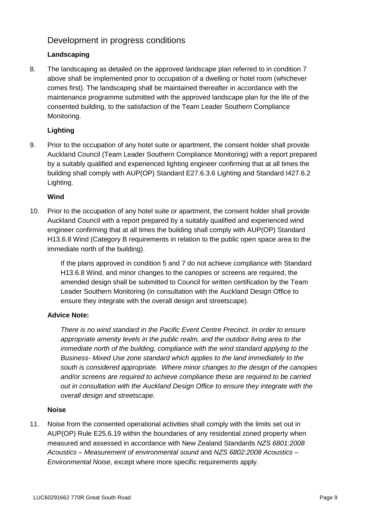## Development in progress conditions

## **Landscaping**

8. The landscaping as detailed on the approved landscape plan referred to in condition 7 above shall be implemented prior to occupation of a dwelling or hotel room (whichever comes first). The landscaping shall be maintained thereafter in accordance with the maintenance programme submitted with the approved landscape plan for the life of the consented building, to the satisfaction of the Team Leader Southern Compliance Monitoring.

## **Lighting**

9. Prior to the occupation of any hotel suite or apartment, the consent holder shall provide Auckland Council (Team Leader Southern Compliance Monitoring) with a report prepared by a suitably qualified and experienced lighting engineer confirming that at all times the building shall comply with AUP(OP) Standard E27.6.3.6 Lighting and Standard I427.6.2 Lighting.

## **Wind**

10. Prior to the occupation of any hotel suite or apartment, the consent holder shall provide Auckland Council with a report prepared by a suitably qualified and experienced wind engineer confirming that at all times the building shall comply with AUP(OP) Standard H13.6.8 Wind (Category B requirements in relation to the public open space area to the immediate north of the building).

> If the plans approved in condition 5 and 7 do not achieve compliance with Standard H13.6.8 Wind, and minor changes to the canopies or screens are required, the amended design shall be submitted to Council for written certification by the Team Leader Southern Monitoring (in consultation with the Auckland Design Office to ensure they integrate with the overall design and streetscape).

## **Advice Note:**

*There is no wind standard in the Pacific Event Centre Precinct. In order to ensure appropriate amenity levels in the public realm, and the outdoor living area to the immediate north of the building, compliance with the wind standard applying to the Business- Mixed Use zone standard which applies to the land immediately to the south is considered appropriate. Where minor changes to the design of the canopies and/or screens are required to achieve compliance these are required to be carried out in consultation with the Auckland Design Office to ensure they integrate with the overall design and streetscape.*

## **Noise**

11. Noise from the consented operational activities shall comply with the limits set out in AUP(OP) Rule E25.6.19 within the boundaries of any residential zoned property when measured and assessed in accordance with New Zealand Standards *NZS 6801:2008 Acoustics – Measurement of environmental sound* and *NZS 6802:2008 Acoustics – Environmental Noise*, except where more specific requirements apply.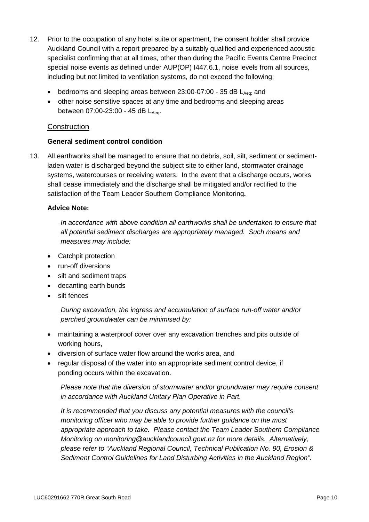- 12. Prior to the occupation of any hotel suite or apartment, the consent holder shall provide Auckland Council with a report prepared by a suitably qualified and experienced acoustic specialist confirming that at all times, other than during the Pacific Events Centre Precinct special noise events as defined under AUP(OP) I447.6.1, noise levels from all sources, including but not limited to ventilation systems, do not exceed the following:
	- bedrooms and sleeping areas between  $23:00-07:00$  35 dB  $L_{Aeq}$  and
	- other noise sensitive spaces at any time and bedrooms and sleeping areas between  $07:00-23:00 - 45$  dB  $L_{Aea}$ .

## **Construction**

#### **General sediment control condition**

13. All earthworks shall be managed to ensure that no debris, soil, silt, sediment or sedimentladen water is discharged beyond the subject site to either land, stormwater drainage systems, watercourses or receiving waters. In the event that a discharge occurs, works shall cease immediately and the discharge shall be mitigated and/or rectified to the satisfaction of the Team Leader Southern Compliance Monitoring*.*

#### **Advice Note:**

*In accordance with above condition all earthworks shall be undertaken to ensure that all potential sediment discharges are appropriately managed. Such means and measures may include:*

- Catchpit protection
- run-off diversions
- silt and sediment traps
- decanting earth bunds
- silt fences

*During excavation, the ingress and accumulation of surface run-off water and/or perched groundwater can be minimised by:*

- maintaining a waterproof cover over any excavation trenches and pits outside of working hours,
- diversion of surface water flow around the works area, and
- regular disposal of the water into an appropriate sediment control device, if ponding occurs within the excavation.

*Please note that the diversion of stormwater and/or groundwater may require consent in accordance with Auckland Unitary Plan Operative in Part.* 

*It is recommended that you discuss any potential measures with the council's monitoring officer who may be able to provide further guidance on the most appropriate approach to take. Please contact the Team Leader Southern Compliance Monitoring on monitoring@aucklandcouncil.govt.nz for more details. Alternatively, please refer to "Auckland Regional Council, Technical Publication No. 90, Erosion & Sediment Control Guidelines for Land Disturbing Activities in the Auckland Region".*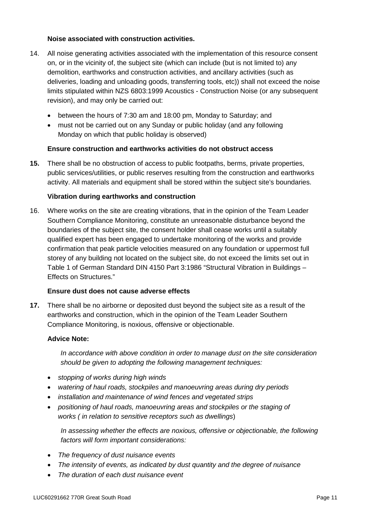#### **Noise associated with construction activities.**

- 14. All noise generating activities associated with the implementation of this resource consent on, or in the vicinity of, the subject site (which can include (but is not limited to) any demolition, earthworks and construction activities, and ancillary activities (such as deliveries, loading and unloading goods, transferring tools, etc)) shall not exceed the noise limits stipulated within NZS 6803:1999 Acoustics - Construction Noise (or any subsequent revision), and may only be carried out:
	- between the hours of 7:30 am and 18:00 pm, Monday to Saturday; and
	- must not be carried out on any Sunday or public holiday (and any following Monday on which that public holiday is observed)

#### **Ensure construction and earthwo**r**ks activities do not obstruct access**

**15.** There shall be no obstruction of access to public footpaths, berms, private properties, public services/utilities, or public reserves resulting from the construction and earthworks activity. All materials and equipment shall be stored within the subject site's boundaries.

#### **Vibration during earthworks and construction**

16. Where works on the site are creating vibrations, that in the opinion of the Team Leader Southern Compliance Monitoring, constitute an unreasonable disturbance beyond the boundaries of the subject site, the consent holder shall cease works until a suitably qualified expert has been engaged to undertake monitoring of the works and provide confirmation that peak particle velocities measured on any foundation or uppermost full storey of any building not located on the subject site, do not exceed the limits set out in Table 1 of German Standard DIN 4150 Part 3:1986 "Structural Vibration in Buildings – Effects on Structures."

#### **Ensure dust does not cause adverse effects**

**17.** There shall be no airborne or deposited dust beyond the subject site as a result of the earthworks and construction, which in the opinion of the Team Leader Southern Compliance Monitoring, is noxious, offensive or objectionable.

#### **Advice Note:**

*In accordance with above condition in order to manage dust on the site consideration should be given to adopting the following management techniques:* 

- *stopping of works during high winds*
- *watering of haul roads, stockpiles and manoeuvring areas during dry periods*
- *installation and maintenance of wind fences and vegetated strips*
- *positioning of haul roads, manoeuvring areas and stockpiles or the staging of works ( in relation to sensitive receptors such as dwellings*)

*In assessing whether the effects are noxious, offensive or objectionable, the following factors will form important considerations:* 

- *The frequency of dust nuisance events*
- *The intensity of events, as indicated by dust quantity and the degree of nuisance*
- *The duration of each dust nuisance event*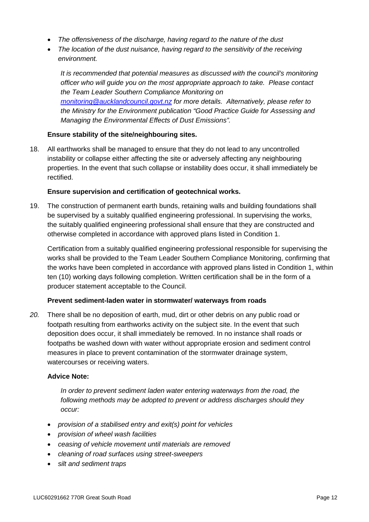- *The offensiveness of the discharge, having regard to the nature of the dust*
- *The location of the dust nuisance, having regard to the sensitivity of the receiving environment.*

*It is recommended that potential measures as discussed with the council's monitoring officer who will guide you on the most appropriate approach to take. Please contact the Team Leader Southern Compliance Monitoring on [monitoring@aucklandcouncil.govt.nz](mailto:monitoring@aucklandcouncil.govt.nz) for more details. Alternatively, please refer to the Ministry for the Environment publication "Good Practice Guide for Assessing and Managing the Environmental Effects of Dust Emissions".*

#### **Ensure stability of the site/neighbouring sites.**

18. All earthworks shall be managed to ensure that they do not lead to any uncontrolled instability or collapse either affecting the site or adversely affecting any neighbouring properties. In the event that such collapse or instability does occur, it shall immediately be rectified.

#### **Ensure supervision and certification of geotechnical works.**

19. The construction of permanent earth bunds, retaining walls and building foundations shall be supervised by a suitably qualified engineering professional. In supervising the works, the suitably qualified engineering professional shall ensure that they are constructed and otherwise completed in accordance with approved plans listed in Condition 1.

Certification from a suitably qualified engineering professional responsible for supervising the works shall be provided to the Team Leader Southern Compliance Monitoring, confirming that the works have been completed in accordance with approved plans listed in Condition 1, within ten (10) working days following completion. Written certification shall be in the form of a producer statement acceptable to the Council.

#### **Prevent sediment-laden water in stormwater/ waterways from roads**

*20.* There shall be no deposition of earth, mud, dirt or other debris on any public road or footpath resulting from earthworks activity on the subject site. In the event that such deposition does occur, it shall immediately be removed. In no instance shall roads or footpaths be washed down with water without appropriate erosion and sediment control measures in place to prevent contamination of the stormwater drainage system, watercourses or receiving waters.

#### **Advice Note:**

*In order to prevent sediment laden water entering waterways from the road, the following methods may be adopted to prevent or address discharges should they occur:* 

- *provision of a stabilised entry and exit(s) point for vehicles*
- *provision of wheel wash facilities*
- *ceasing of vehicle movement until materials are removed*
- *cleaning of road surfaces using street-sweepers*
- *silt and sediment traps*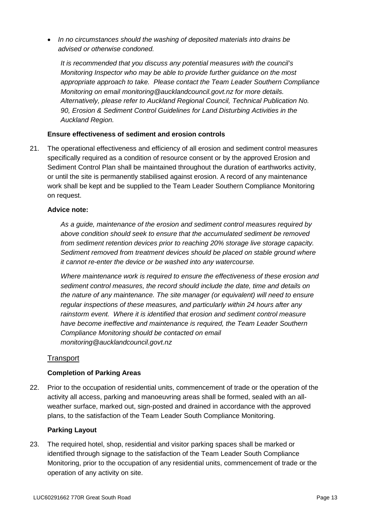• *In no circumstances should the washing of deposited materials into drains be advised or otherwise condoned.* 

*It is recommended that you discuss any potential measures with the council's Monitoring Inspector who may be able to provide further guidance on the most appropriate approach to take. Please contact the Team Leader Southern Compliance Monitoring on email monitoring@aucklandcouncil.govt.nz for more details. Alternatively, please refer to Auckland Regional Council, Technical Publication No. 90, Erosion & Sediment Control Guidelines for Land Disturbing Activities in the Auckland Region.*

#### **Ensure effectiveness of sediment and erosion controls**

21. The operational effectiveness and efficiency of all erosion and sediment control measures specifically required as a condition of resource consent or by the approved Erosion and Sediment Control Plan shall be maintained throughout the duration of earthworks activity, or until the site is permanently stabilised against erosion. A record of any maintenance work shall be kept and be supplied to the Team Leader Southern Compliance Monitoring on request.

#### **Advice note:**

*As a guide, maintenance of the erosion and sediment control measures required by above condition should seek to ensure that the accumulated sediment be removed from sediment retention devices prior to reaching 20% storage live storage capacity. Sediment removed from treatment devices should be placed on stable ground where it cannot re-enter the device or be washed into any watercourse.*

*Where maintenance work is required to ensure the effectiveness of these erosion and sediment control measures, the record should include the date, time and details on the nature of any maintenance. The site manager (or equivalent) will need to ensure regular inspections of these measures, and particularly within 24 hours after any rainstorm event. Where it is identified that erosion and sediment control measure have become ineffective and maintenance is required, the Team Leader Southern Compliance Monitoring should be contacted on email monitoring@aucklandcouncil.govt.nz*

## **Transport**

## **Completion of Parking Areas**

22. Prior to the occupation of residential units, commencement of trade or the operation of the activity all access, parking and manoeuvring areas shall be formed, sealed with an allweather surface, marked out, sign-posted and drained in accordance with the approved plans, to the satisfaction of the Team Leader South Compliance Monitoring.

#### **Parking Layout**

23. The required hotel, shop, residential and visitor parking spaces shall be marked or identified through signage to the satisfaction of the Team Leader South Compliance Monitoring, prior to the occupation of any residential units, commencement of trade or the operation of any activity on site.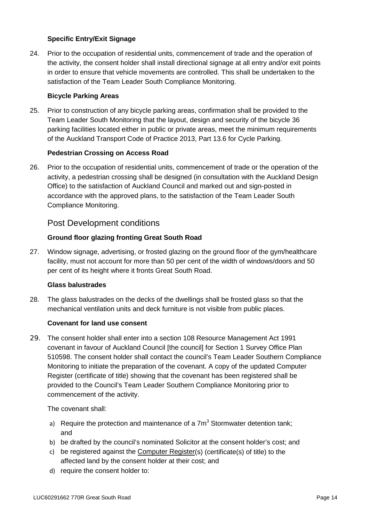### **Specific Entry/Exit Signage**

24. Prior to the occupation of residential units, commencement of trade and the operation of the activity, the consent holder shall install directional signage at all entry and/or exit points in order to ensure that vehicle movements are controlled. This shall be undertaken to the satisfaction of the Team Leader South Compliance Monitoring.

#### **Bicycle Parking Areas**

25. Prior to construction of any bicycle parking areas, confirmation shall be provided to the Team Leader South Monitoring that the layout, design and security of the bicycle 36 parking facilities located either in public or private areas, meet the minimum requirements of the Auckland Transport Code of Practice 2013, Part 13.6 for Cycle Parking.

#### **Pedestrian Crossing on Access Road**

26. Prior to the occupation of residential units, commencement of trade or the operation of the activity, a pedestrian crossing shall be designed (in consultation with the Auckland Design Office) to the satisfaction of Auckland Council and marked out and sign-posted in accordance with the approved plans, to the satisfaction of the Team Leader South Compliance Monitoring.

## Post Development conditions

## **Ground floor glazing fronting Great South Road**

27. Window signage, advertising, or frosted glazing on the ground floor of the gym/healthcare facility, must not account for more than 50 per cent of the width of windows/doors and 50 per cent of its height where it fronts Great South Road.

#### **Glass balustrades**

28. The glass balustrades on the decks of the dwellings shall be frosted glass so that the mechanical ventilation units and deck furniture is not visible from public places.

#### **Covenant for land use consent**

29. The consent holder shall enter into a section 108 Resource Management Act 1991 covenant in favour of Auckland Council [the council] for Section 1 Survey Office Plan 510598. The consent holder shall contact the council's Team Leader Southern Compliance Monitoring to initiate the preparation of the covenant. A copy of the updated Computer Register (certificate of title) showing that the covenant has been registered shall be provided to the Council's Team Leader Southern Compliance Monitoring prior to commencement of the activity.

The covenant shall:

- a) Require the protection and maintenance of a  $7m<sup>3</sup>$  Stormwater detention tank: and
- b) be drafted by the council's nominated Solicitor at the consent holder's cost; and
- c) be registered against the [Computer Register\(](http://www.linz.govt.nz/land/land-records/overview/record-types/types-land-records/computer-register-certificate-title-0)s) (certificate(s) of title) to the affected land by the consent holder at their cost; and
- d) require the consent holder to: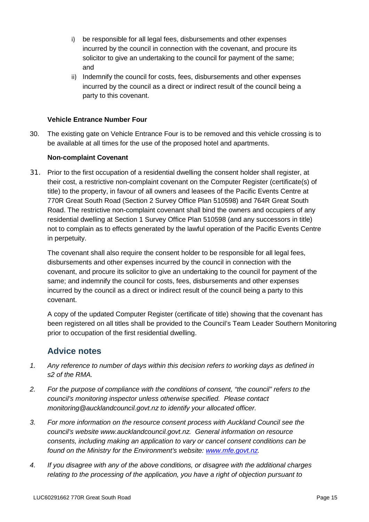- i) be responsible for all legal fees, disbursements and other expenses incurred by the council in connection with the covenant, and procure its solicitor to give an undertaking to the council for payment of the same; and
- ii) Indemnify the council for costs, fees, disbursements and other expenses incurred by the council as a direct or indirect result of the council being a party to this covenant.

#### **Vehicle Entrance Number Four**

30. The existing gate on Vehicle Entrance Four is to be removed and this vehicle crossing is to be available at all times for the use of the proposed hotel and apartments.

#### **Non-complaint Covenant**

31. Prior to the first occupation of a residential dwelling the consent holder shall register, at their cost, a restrictive non-complaint covenant on the Computer Register (certificate(s) of title) to the property, in favour of all owners and leasees of the Pacific Events Centre at 770R Great South Road (Section 2 Survey Office Plan 510598) and 764R Great South Road. The restrictive non-complaint covenant shall bind the owners and occupiers of any residential dwelling at Section 1 Survey Office Plan 510598 (and any successors in title) not to complain as to effects generated by the lawful operation of the Pacific Events Centre in perpetuity.

The covenant shall also require the consent holder to be responsible for all legal fees, disbursements and other expenses incurred by the council in connection with the covenant, and procure its solicitor to give an undertaking to the council for payment of the same; and indemnify the council for costs, fees, disbursements and other expenses incurred by the council as a direct or indirect result of the council being a party to this covenant.

A copy of the updated Computer Register (certificate of title) showing that the covenant has been registered on all titles shall be provided to the Council's Team Leader Southern Monitoring prior to occupation of the first residential dwelling.

## **Advice notes**

- *1. Any reference to number of days within this decision refers to working days as defined in s2 of the RMA.*
- *2. For the purpose of compliance with the conditions of consent, "the council" refers to the council's monitoring inspector unless otherwise specified. Please contact monitoring@aucklandcouncil.govt.nz to identify your allocated officer.*
- *3. For more information on the resource consent process with Auckland Council see the council's website www.aucklandcouncil.govt.nz. General information on resource consents, including making an application to vary or cancel consent conditions can be found on the Ministry for the Environment's website: [www.mfe.govt.nz.](http://www.mfe.govt.nz/)*
- *4. If you disagree with any of the above conditions, or disagree with the additional charges relating to the processing of the application, you have a right of objection pursuant to*